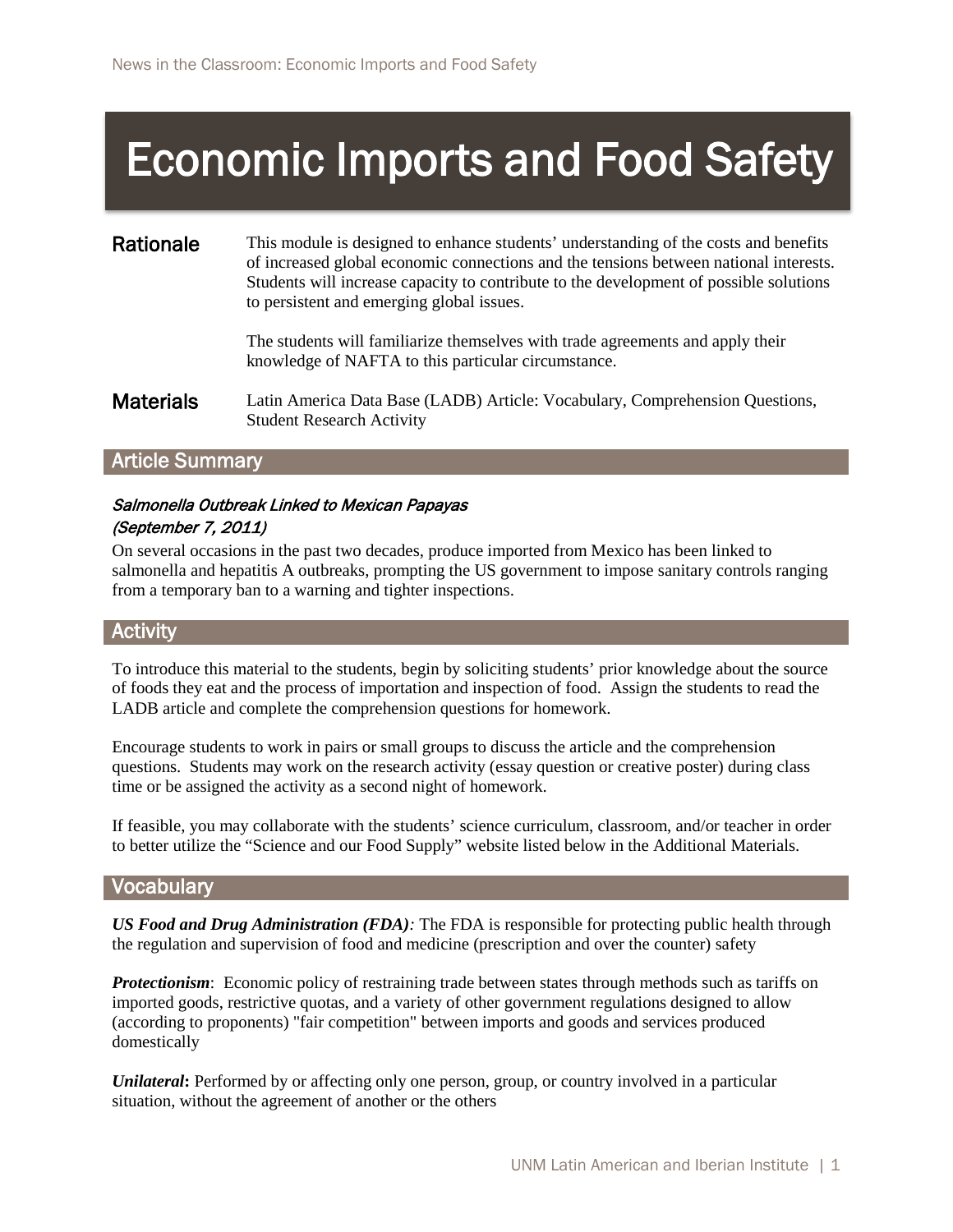# Economic Imports and Food Safety

#### Rationale This module is designed to enhance students' understanding of the costs and benefits of increased global economic connections and the tensions between national interests. Students will increase capacity to contribute to the development of possible solutions to persistent and emerging global issues.

The students will familiarize themselves with trade agreements and apply their knowledge of NAFTA to this particular circumstance.

**Materials** Latin America Data Base (LADB) Article: Vocabulary, Comprehension Questions, Student Research Activity

## Article Summary

## Salmonella Outbreak Linked to Mexican Papayas (September 7, 2011)

On several occasions in the past two decades, produce imported from Mexico has been linked to salmonella and hepatitis A outbreaks, prompting the US government to impose sanitary controls ranging from a temporary ban to a warning and tighter inspections.

## **Activity**

To introduce this material to the students, begin by soliciting students' prior knowledge about the source of foods they eat and the process of importation and inspection of food. Assign the students to read the LADB article and complete the comprehension questions for homework.

Encourage students to work in pairs or small groups to discuss the article and the comprehension questions. Students may work on the research activity (essay question or creative poster) during class time or be assigned the activity as a second night of homework.

If feasible, you may collaborate with the students' science curriculum, classroom, and/or teacher in order to better utilize the "Science and our Food Supply" website listed below in the Additional Materials.

#### **Vocabulary**

*US Food and Drug Administration (FDA):* The FDA is responsible for protecting [public health](http://en.wikipedia.org/wiki/Public_health) through the [regulation](http://en.wikipedia.org/wiki/Regulation) and supervision of [food and medicine \(prescription and over the counter\) safety](http://en.wikipedia.org/wiki/Food_safety)

*Protectionism*: [Economic policy](http://en.wikipedia.org/wiki/Economic_policy) of restraining [trade](http://en.wikipedia.org/wiki/Trade) between states through methods such as [tariffs](http://en.wikipedia.org/wiki/Tariff) on imported goods, restrictive [quotas,](http://en.wikipedia.org/wiki/Import_quota) and a variety of other government regulations designed to allow (according to proponents) "fair competition" between [imports](http://en.wikipedia.org/wiki/Import) and goods and services produced domestically

*Unilateral*: Performed by or affecting only one person, group, or country involved in a particular situation, without the agreement of another or the others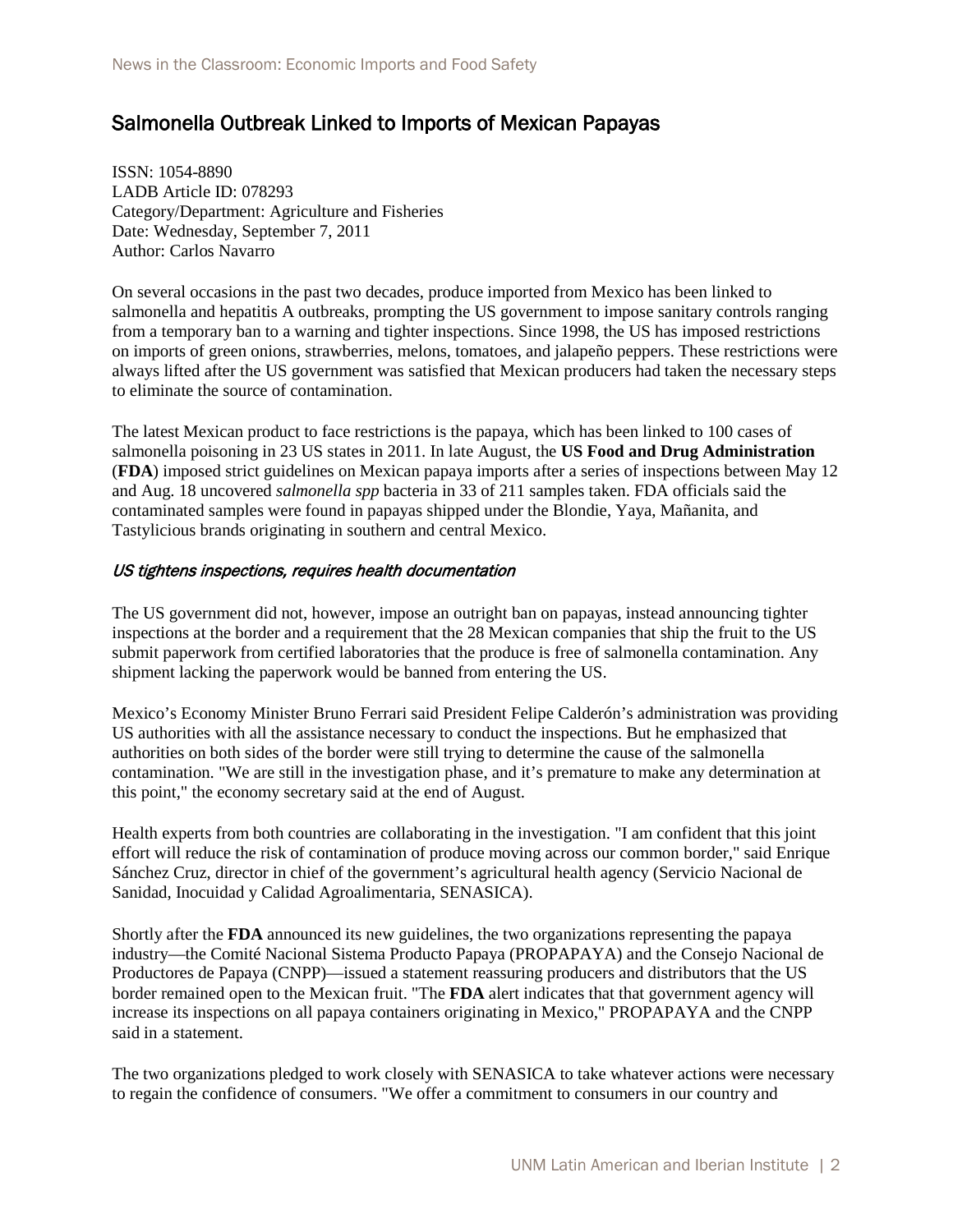# Salmonella Outbreak Linked to Imports of Mexican Papayas

ISSN: 1054-8890 LADB Article ID: 078293 Category/Department: Agriculture and Fisheries Date: Wednesday, September 7, 2011 Author: Carlos Navarro

On several occasions in the past two decades, produce imported from Mexico has been linked to salmonella and hepatitis A outbreaks, prompting the US government to impose sanitary controls ranging from a temporary ban to a warning and tighter inspections. Since 1998, the US has imposed restrictions on imports of green onions, strawberries, melons, tomatoes, and jalapeño peppers. These restrictions were always lifted after the US government was satisfied that Mexican producers had taken the necessary steps to eliminate the source of contamination.

The latest Mexican product to face restrictions is the papaya, which has been linked to 100 cases of salmonella poisoning in 23 US states in 2011. In late August, the **US Food and Drug Administration**  (**FDA**) imposed strict guidelines on Mexican papaya imports after a series of inspections between May 12 and Aug. 18 uncovered *salmonella spp* bacteria in 33 of 211 samples taken. FDA officials said the contaminated samples were found in papayas shipped under the Blondie, Yaya, Mañanita, and Tastylicious brands originating in southern and central Mexico.

#### US tightens inspections, requires health documentation

The US government did not, however, impose an outright ban on papayas, instead announcing tighter inspections at the border and a requirement that the 28 Mexican companies that ship the fruit to the US submit paperwork from certified laboratories that the produce is free of salmonella contamination. Any shipment lacking the paperwork would be banned from entering the US.

Mexico's Economy Minister Bruno Ferrari said President Felipe Calderón's administration was providing US authorities with all the assistance necessary to conduct the inspections. But he emphasized that authorities on both sides of the border were still trying to determine the cause of the salmonella contamination. "We are still in the investigation phase, and it's premature to make any determination at this point," the economy secretary said at the end of August.

Health experts from both countries are collaborating in the investigation. "I am confident that this joint effort will reduce the risk of contamination of produce moving across our common border," said Enrique Sánchez Cruz, director in chief of the government's agricultural health agency (Servicio Nacional de Sanidad, Inocuidad y Calidad Agroalimentaria, SENASICA).

Shortly after the **FDA** announced its new guidelines, the two organizations representing the papaya industry—the Comité Nacional Sistema Producto Papaya (PROPAPAYA) and the Consejo Nacional de Productores de Papaya (CNPP)—issued a statement reassuring producers and distributors that the US border remained open to the Mexican fruit. "The **FDA** alert indicates that that government agency will increase its inspections on all papaya containers originating in Mexico," PROPAPAYA and the CNPP said in a statement.

The two organizations pledged to work closely with SENASICA to take whatever actions were necessary to regain the confidence of consumers. "We offer a commitment to consumers in our country and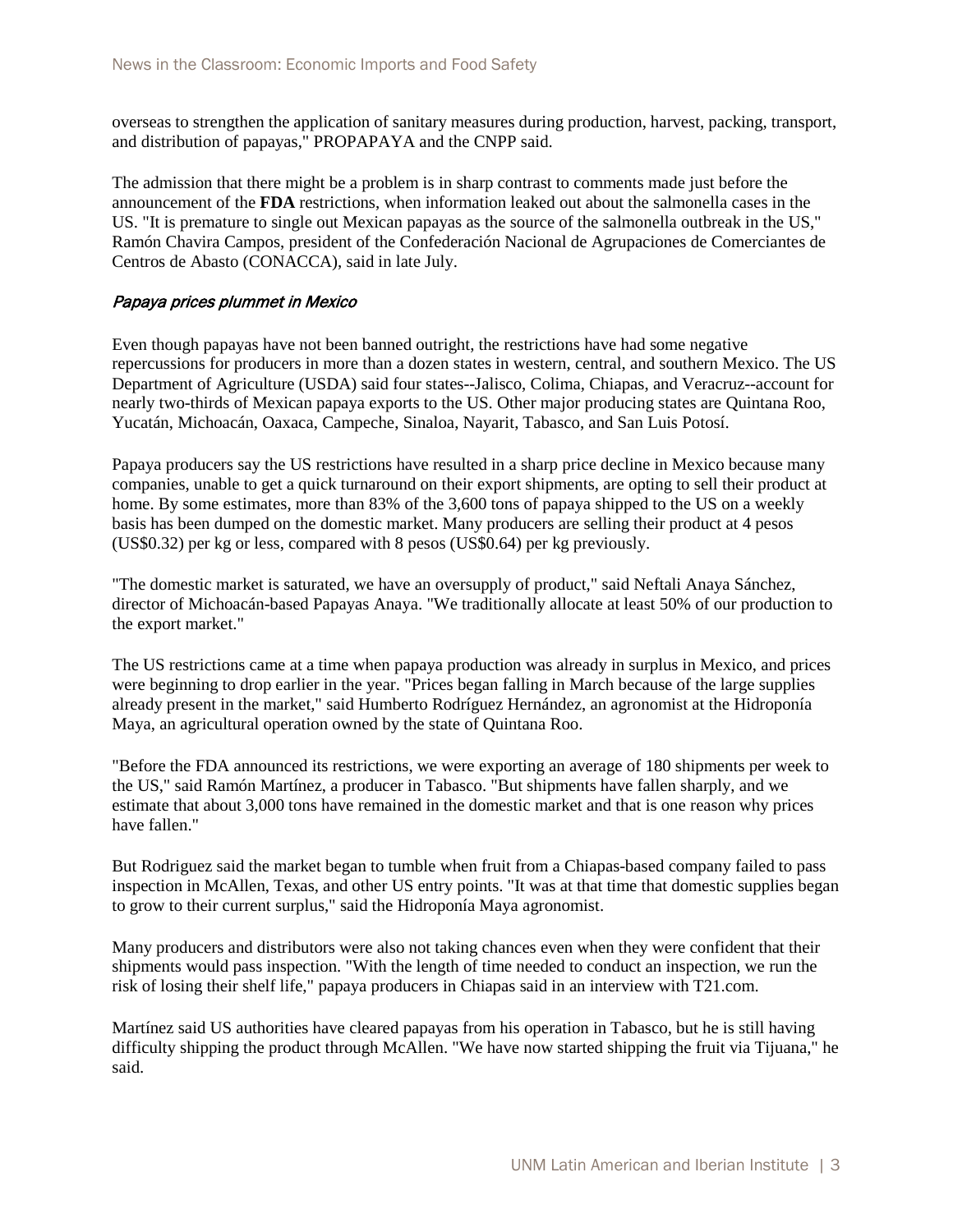overseas to strengthen the application of sanitary measures during production, harvest, packing, transport, and distribution of papayas," PROPAPAYA and the CNPP said.

The admission that there might be a problem is in sharp contrast to comments made just before the announcement of the **FDA** restrictions, when information leaked out about the salmonella cases in the US. "It is premature to single out Mexican papayas as the source of the salmonella outbreak in the US," Ramón Chavira Campos, president of the Confederación Nacional de Agrupaciones de Comerciantes de Centros de Abasto (CONACCA), said in late July.

#### Papaya prices plummet in Mexico

Even though papayas have not been banned outright, the restrictions have had some negative repercussions for producers in more than a dozen states in western, central, and southern Mexico. The US Department of Agriculture (USDA) said four states--Jalisco, Colima, Chiapas, and Veracruz--account for nearly two-thirds of Mexican papaya exports to the US. Other major producing states are Quintana Roo, Yucatán, Michoacán, Oaxaca, Campeche, Sinaloa, Nayarit, Tabasco, and San Luis Potosí.

Papaya producers say the US restrictions have resulted in a sharp price decline in Mexico because many companies, unable to get a quick turnaround on their export shipments, are opting to sell their product at home. By some estimates, more than 83% of the 3,600 tons of papaya shipped to the US on a weekly basis has been dumped on the domestic market. Many producers are selling their product at 4 pesos (US\$0.32) per kg or less, compared with 8 pesos (US\$0.64) per kg previously.

"The domestic market is saturated, we have an oversupply of product," said Neftali Anaya Sánchez, director of Michoacán-based Papayas Anaya. "We traditionally allocate at least 50% of our production to the export market."

The US restrictions came at a time when papaya production was already in surplus in Mexico, and prices were beginning to drop earlier in the year. "Prices began falling in March because of the large supplies already present in the market," said Humberto Rodríguez Hernández, an agronomist at the Hidroponía Maya, an agricultural operation owned by the state of Quintana Roo.

"Before the FDA announced its restrictions, we were exporting an average of 180 shipments per week to the US," said Ramón Martínez, a producer in Tabasco. "But shipments have fallen sharply, and we estimate that about 3,000 tons have remained in the domestic market and that is one reason why prices have fallen."

But Rodriguez said the market began to tumble when fruit from a Chiapas-based company failed to pass inspection in McAllen, Texas, and other US entry points. "It was at that time that domestic supplies began to grow to their current surplus," said the Hidroponía Maya agronomist.

Many producers and distributors were also not taking chances even when they were confident that their shipments would pass inspection. "With the length of time needed to conduct an inspection, we run the risk of losing their shelf life," papaya producers in Chiapas said in an interview with T21.com.

Martínez said US authorities have cleared papayas from his operation in Tabasco, but he is still having difficulty shipping the product through McAllen. "We have now started shipping the fruit via Tijuana," he said.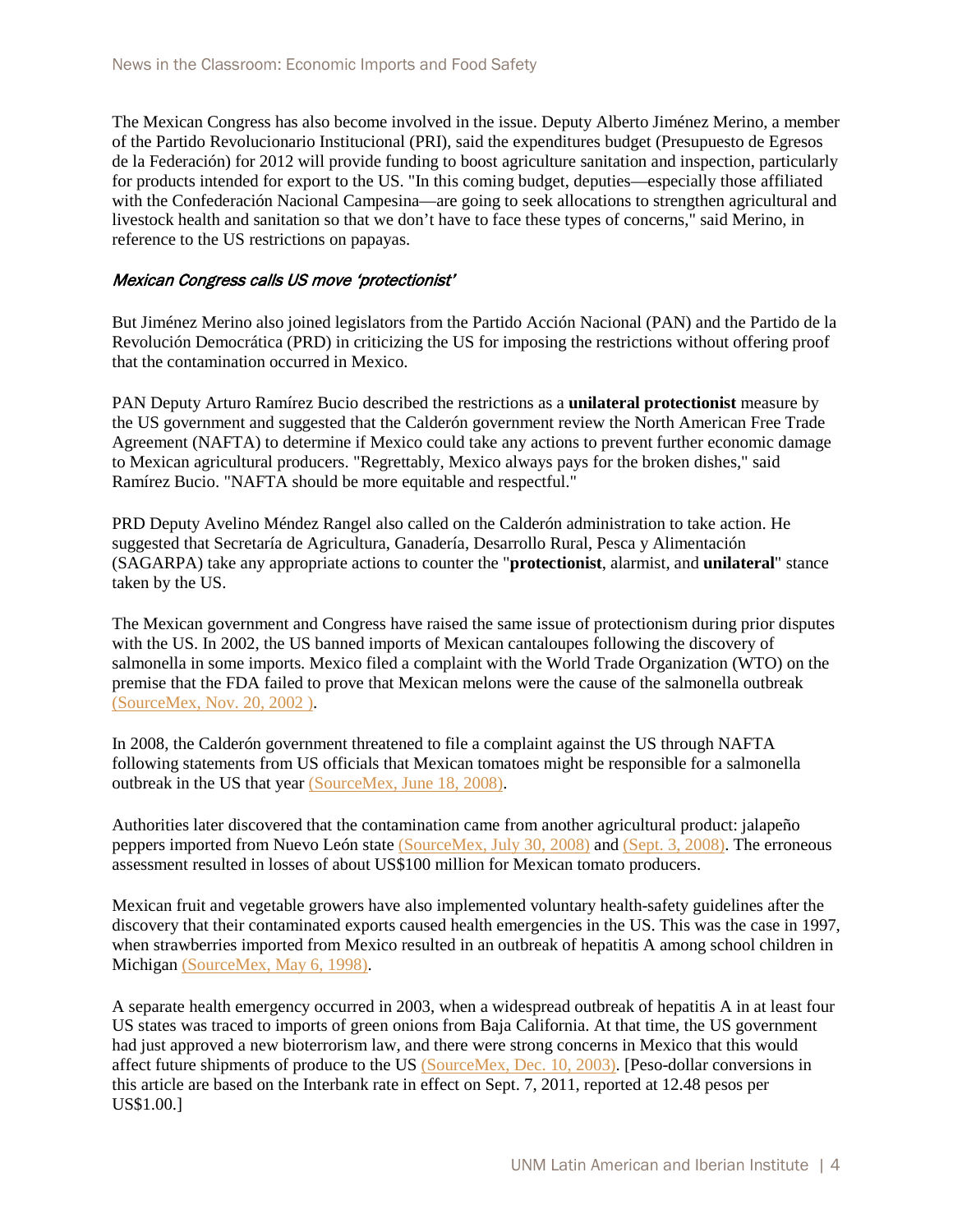The Mexican Congress has also become involved in the issue. Deputy Alberto Jiménez Merino, a member of the Partido Revolucionario Institucional (PRI), said the expenditures budget (Presupuesto de Egresos de la Federación) for 2012 will provide funding to boost agriculture sanitation and inspection, particularly for products intended for export to the US. "In this coming budget, deputies—especially those affiliated with the Confederación Nacional Campesina—are going to seek allocations to strengthen agricultural and livestock health and sanitation so that we don't have to face these types of concerns," said Merino, in reference to the US restrictions on papayas.

#### Mexican Congress calls US move 'protectionist'

But Jiménez Merino also joined legislators from the Partido Acción Nacional (PAN) and the Partido de la Revolución Democrática (PRD) in criticizing the US for imposing the restrictions without offering proof that the contamination occurred in Mexico.

PAN Deputy Arturo Ramírez Bucio described the restrictions as a **unilateral protectionist** measure by the US government and suggested that the Calderón government review the North American Free Trade Agreement (NAFTA) to determine if Mexico could take any actions to prevent further economic damage to Mexican agricultural producers. "Regrettably, Mexico always pays for the broken dishes," said Ramírez Bucio. "NAFTA should be more equitable and respectful."

PRD Deputy Avelino Méndez Rangel also called on the Calderón administration to take action. He suggested that Secretaría de Agricultura, Ganadería, Desarrollo Rural, Pesca y Alimentación (SAGARPA) take any appropriate actions to counter the "**protectionist**, alarmist, and **unilateral**" stance taken by the US.

The Mexican government and Congress have raised the same issue of protectionism during prior disputes with the US. In 2002, the US banned imports of Mexican cantaloupes following the discovery of salmonella in some imports. Mexico filed a complaint with the World Trade Organization (WTO) on the premise that the FDA failed to prove that Mexican melons were the cause of the salmonella outbreak [\(SourceMex, Nov. 20, 2002 \).](http://ladb.unm.edu/publication/ViewArticle/article_id/052895)

In 2008, the Calderón government threatened to file a complaint against the US through NAFTA following statements from US officials that Mexican tomatoes might be responsible for a salmonella outbreak in the US that year [\(SourceMex, June 18, 2008\).](http://ladb.unm.edu/publication/ViewArticle/article_id/051089)

Authorities later discovered that the contamination came from another agricultural product: jalapeño peppers imported from Nuevo León state [\(SourceMex, July 30, 2008\)](http://ladb.unm.edu/publication/ViewArticle/article_id/051056) and [\(Sept. 3, 2008\).](http://ladb.unm.edu/publication/ViewArticle/article_id/051033) The erroneous assessment resulted in losses of about US\$100 million for Mexican tomato producers.

Mexican fruit and vegetable growers have also implemented voluntary health-safety guidelines after the discovery that their contaminated exports caused health emergencies in the US. This was the case in 1997, when strawberries imported from Mexico resulted in an outbreak of hepatitis A among school children in Michigan [\(SourceMex, May 6, 1998\).](http://ladb.unm.edu/publication/ViewArticle/article_id/054760)

A separate health emergency occurred in 2003, when a widespread outbreak of hepatitis A in at least four US states was traced to imports of green onions from Baja California. At that time, the US government had just approved a new bioterrorism law, and there were strong concerns in Mexico that this would affect future shipments of produce to the US [\(SourceMex, Dec. 10, 2003\).](http://ladb.unm.edu/publication/ViewArticle/article_id/052536) [Peso-dollar conversions in this article are based on the Interbank rate in effect on Sept. 7, 2011, reported at 12.48 pesos per US\$1.00.]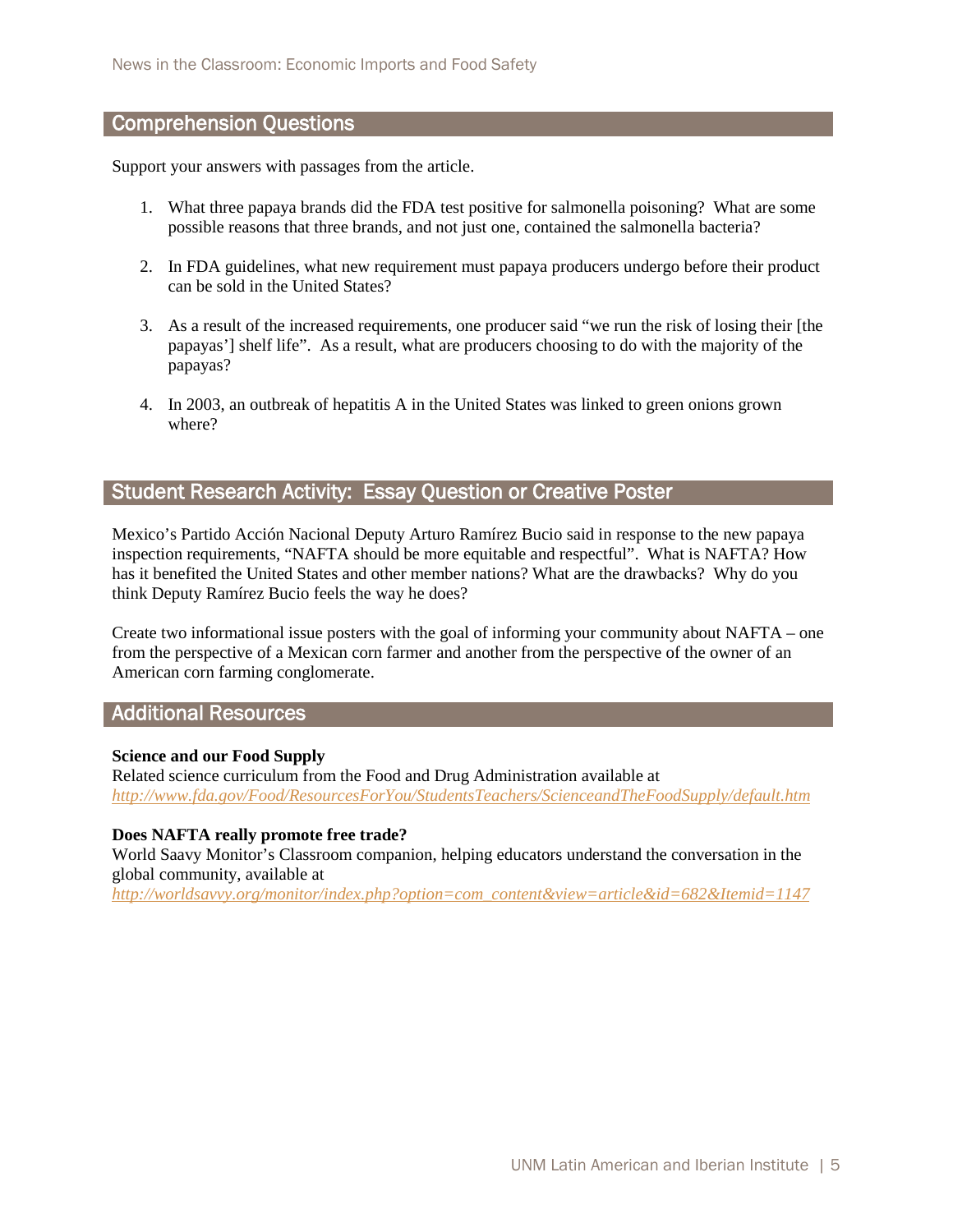## Comprehension Questions

Support your answers with passages from the article.

- 1. What three papaya brands did the FDA test positive for salmonella poisoning? What are some possible reasons that three brands, and not just one, contained the salmonella bacteria?
- 2. In FDA guidelines, what new requirement must papaya producers undergo before their product can be sold in the United States?
- 3. As a result of the increased requirements, one producer said "we run the risk of losing their [the papayas'] shelf life". As a result, what are producers choosing to do with the majority of the papayas?
- 4. In 2003, an outbreak of hepatitis A in the United States was linked to green onions grown where?

# Student Research Activity: Essay Question or Creative Poster

Mexico's Partido Acción Nacional Deputy Arturo Ramírez Bucio said in response to the new papaya inspection requirements, "NAFTA should be more equitable and respectful". What is NAFTA? How has it benefited the United States and other member nations? What are the drawbacks? Why do you think Deputy Ramírez Bucio feels the way he does?

Create two informational issue posters with the goal of informing your community about NAFTA – one from the perspective of a Mexican corn farmer and another from the perspective of the owner of an American corn farming conglomerate.

# Additional Resources

#### **Science and our Food Supply**

Related science curriculum from the Food and Drug Administration available at *<http://www.fda.gov/Food/ResourcesForYou/StudentsTeachers/ScienceandTheFoodSupply/default.htm>*

#### **Does NAFTA really promote free trade?**

World Saavy Monitor's Classroom companion, helping educators understand the conversation in the global community, available at

*[http://worldsavvy.org/monitor/index.php?option=com\\_content&view=article&id=682&Itemid=1147](http://worldsavvy.org/monitor/index.php?option=com_content&view=article&id=682&Itemid=1147)*